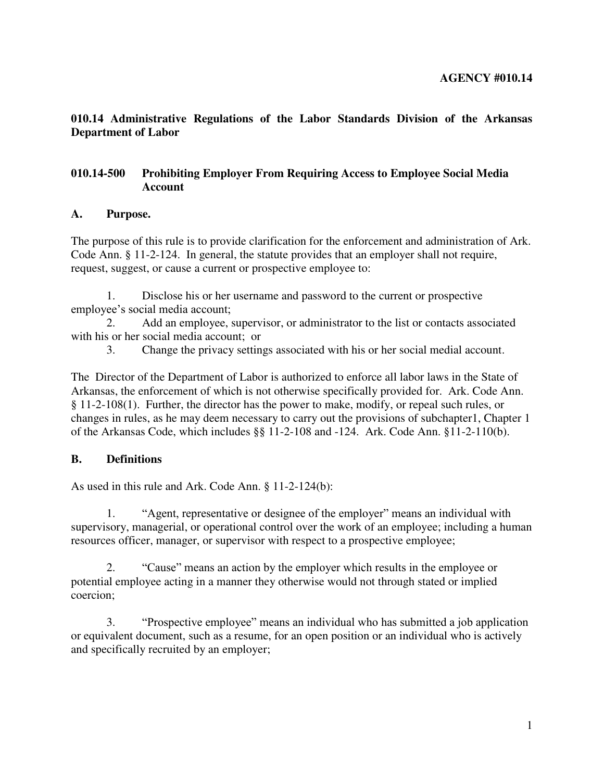**010.14 Administrative Regulations of the Labor Standards Division of the Arkansas Department of Labor** 

## **010.14-500 Prohibiting Employer From Requiring Access to Employee Social Media Account**

#### **A. Purpose.**

The purpose of this rule is to provide clarification for the enforcement and administration of Ark. Code Ann. § 11-2-124. In general, the statute provides that an employer shall not require, request, suggest, or cause a current or prospective employee to:

 1. Disclose his or her username and password to the current or prospective employee's social media account;

 2. Add an employee, supervisor, or administrator to the list or contacts associated with his or her social media account; or

3. Change the privacy settings associated with his or her social medial account.

The Director of the Department of Labor is authorized to enforce all labor laws in the State of Arkansas, the enforcement of which is not otherwise specifically provided for. Ark. Code Ann. § 11-2-108(1). Further, the director has the power to make, modify, or repeal such rules, or changes in rules, as he may deem necessary to carry out the provisions of subchapter1, Chapter 1 of the Arkansas Code, which includes §§ 11-2-108 and -124. Ark. Code Ann. §11-2-110(b).

## **B. Definitions**

As used in this rule and Ark. Code Ann. § 11-2-124(b):

 1. "Agent, representative or designee of the employer" means an individual with supervisory, managerial, or operational control over the work of an employee; including a human resources officer, manager, or supervisor with respect to a prospective employee;

 2. "Cause" means an action by the employer which results in the employee or potential employee acting in a manner they otherwise would not through stated or implied coercion;

 3. "Prospective employee" means an individual who has submitted a job application or equivalent document, such as a resume, for an open position or an individual who is actively and specifically recruited by an employer;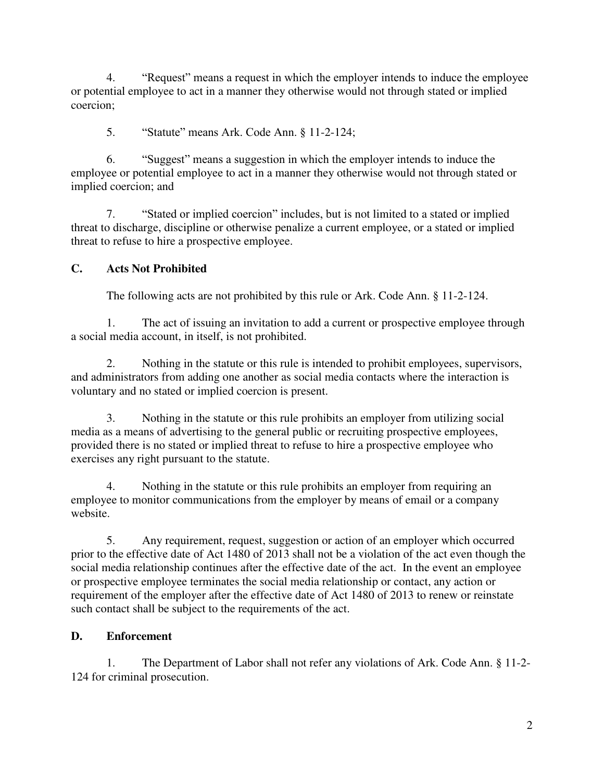4. "Request" means a request in which the employer intends to induce the employee or potential employee to act in a manner they otherwise would not through stated or implied coercion;

5. "Statute" means Ark. Code Ann. § 11-2-124;

 6. "Suggest" means a suggestion in which the employer intends to induce the employee or potential employee to act in a manner they otherwise would not through stated or implied coercion; and

 7. "Stated or implied coercion" includes, but is not limited to a stated or implied threat to discharge, discipline or otherwise penalize a current employee, or a stated or implied threat to refuse to hire a prospective employee.

# **C. Acts Not Prohibited**

The following acts are not prohibited by this rule or Ark. Code Ann. § 11-2-124.

 1. The act of issuing an invitation to add a current or prospective employee through a social media account, in itself, is not prohibited.

 2. Nothing in the statute or this rule is intended to prohibit employees, supervisors, and administrators from adding one another as social media contacts where the interaction is voluntary and no stated or implied coercion is present.

 3. Nothing in the statute or this rule prohibits an employer from utilizing social media as a means of advertising to the general public or recruiting prospective employees, provided there is no stated or implied threat to refuse to hire a prospective employee who exercises any right pursuant to the statute.

 4. Nothing in the statute or this rule prohibits an employer from requiring an employee to monitor communications from the employer by means of email or a company website.

 5. Any requirement, request, suggestion or action of an employer which occurred prior to the effective date of Act 1480 of 2013 shall not be a violation of the act even though the social media relationship continues after the effective date of the act. In the event an employee or prospective employee terminates the social media relationship or contact, any action or requirement of the employer after the effective date of Act 1480 of 2013 to renew or reinstate such contact shall be subject to the requirements of the act.

# **D. Enforcement**

 1. The Department of Labor shall not refer any violations of Ark. Code Ann. § 11-2- 124 for criminal prosecution.